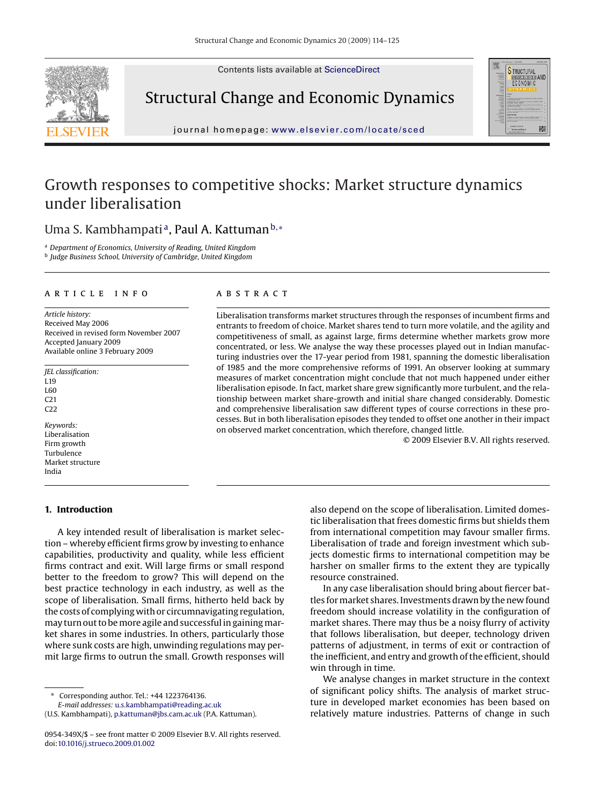Contents lists available at [ScienceDirect](http://www.sciencedirect.com/science/journal/0954349X)



## Structural Change and Economic Dynamics



journal homepage: [www.elsevier.com/locate/sced](http://www.elsevier.com/locate/sced)

### Growth responses to competitive shocks: Market structure dynamics under liberalisation

Uma S. Kambhampati<sup>a</sup>, Paul A. Kattuman<sup>b,</sup> <sup>\*</sup>

<sup>a</sup> *Department of Economics, University of Reading, United Kingdom* <sup>b</sup> *Judge Business School, University of Cambridge, United Kingdom*

#### article info

*Article history:* Received May 2006 Received in revised form November 2007 Accepted January 2009 Available online 3 February 2009

*JEL classification:* L19 L60 C21  $C22$ 

*Keywords:* Liberalisation Firm growth Turbulence Market structure India

#### **1. Introduction**

### abstract

Liberalisation transforms market structures through the responses of incumbent firms and entrants to freedom of choice. Market shares tend to turn more volatile, and the agility and competitiveness of small, as against large, firms determine whether markets grow more concentrated, or less. We analyse the way these processes played out in Indian manufacturing industries over the 17-year period from 1981, spanning the domestic liberalisation of 1985 and the more comprehensive reforms of 1991. An observer looking at summary measures of market concentration might conclude that not much happened under either liberalisation episode. In fact, market share grew significantly more turbulent, and the relationship between market share-growth and initial share changed considerably. Domestic and comprehensive liberalisation saw different types of course corrections in these processes. But in both liberalisation episodes they tended to offset one another in their impact on observed market concentration, which therefore, changed little.

© 2009 Elsevier B.V. All rights reserved.

A key intended result of liberalisation is market selection – whereby efficient firms grow by investing to enhance capabilities, productivity and quality, while less efficient firms contract and exit. Will large firms or small respond better to the freedom to grow? This will depend on the best practice technology in each industry, as well as the scope of liberalisation. Small firms, hitherto held back by the costs of complying with or circumnavigating regulation, may turn out to be more agile and successful in gaining market shares in some industries. In others, particularly those where sunk costs are high, unwinding regulations may permit large firms to outrun the small. Growth responses will

∗ Corresponding author. Tel.: +44 1223764136.

*E-mail addresses:* [u.s.kambhampati@reading.ac.uk](mailto:u.s.kambhampati@reading.ac.uk)

also depend on the scope of liberalisation. Limited domestic liberalisation that frees domestic firms but shields them from international competition may favour smaller firms. Liberalisation of trade and foreign investment which subjects domestic firms to international competition may be harsher on smaller firms to the extent they are typically resource constrained.

In any case liberalisation should bring about fiercer battles for market shares. Investments drawn by the new found freedom should increase volatility in the configuration of market shares. There may thus be a noisy flurry of activity that follows liberalisation, but deeper, technology driven patterns of adjustment, in terms of exit or contraction of the inefficient, and entry and growth of the efficient, should win through in time.

We analyse changes in market structure in the context of significant policy shifts. The analysis of market structure in developed market economies has been based on relatively mature industries. Patterns of change in such

<sup>(</sup>U.S. Kambhampati), [p.kattuman@jbs.cam.ac.uk](mailto:p.kattuman@jbs.cam.ac.uk) (P.A. Kattuman).

<sup>0954-349</sup>X/\$ – see front matter © 2009 Elsevier B.V. All rights reserved. doi[:10.1016/j.strueco.2009.01.002](dx.doi.org/10.1016/j.strueco.2009.01.002)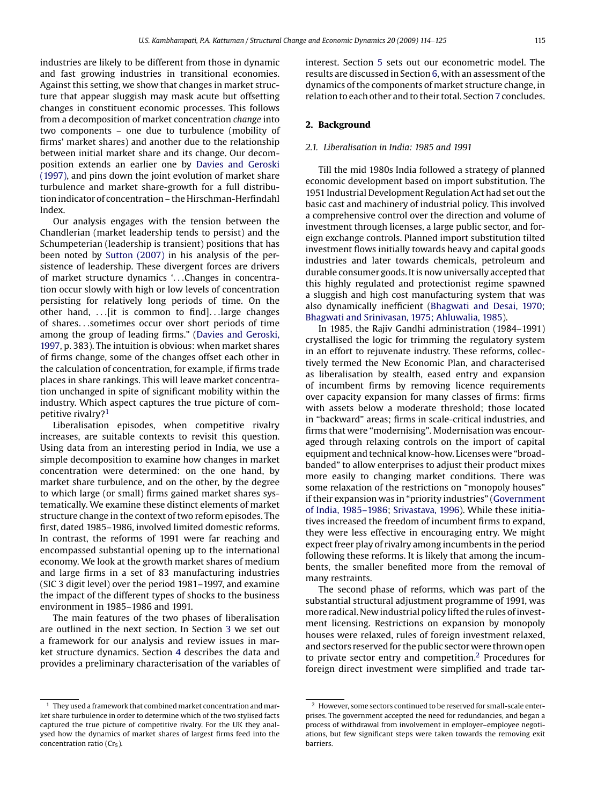industries are likely to be different from those in dynamic and fast growing industries in transitional economies. Against this setting, we show that changes in market structure that appear sluggish may mask acute but offsetting changes in constituent economic processes. This follows from a decomposition of market concentration *change* into two components – one due to turbulence (mobility of firms' market shares) and another due to the relationship between initial market share and its change. Our decomposition extends an earlier one by [Davies and Geroski](#page--1-0) [\(1997\), a](#page--1-0)nd pins down the joint evolution of market share turbulence and market share-growth for a full distribution indicator of concentration – the Hirschman-Herfindahl Index.

Our analysis engages with the tension between the Chandlerian (market leadership tends to persist) and the Schumpeterian (leadership is transient) positions that has been noted by [Sutton \(2007\)](#page--1-0) in his analysis of the persistence of leadership. These divergent forces are drivers of market structure dynamics '...Changes in concentration occur slowly with high or low levels of concentration persisting for relatively long periods of time. On the other hand, ...[it is common to find]...large changes of shares...sometimes occur over short periods of time among the group of leading firms." [\(Davies and Geroski,](#page--1-0) [1997, p](#page--1-0). 383). The intuition is obvious: when market shares of firms change, some of the changes offset each other in the calculation of concentration, for example, if firms trade places in share rankings. This will leave market concentration unchanged in spite of significant mobility within the industry. Which aspect captures the true picture of competitive rivalry?1

Liberalisation episodes, when competitive rivalry increases, are suitable contexts to revisit this question. Using data from an interesting period in India, we use a simple decomposition to examine how changes in market concentration were determined: on the one hand, by market share turbulence, and on the other, by the degree to which large (or small) firms gained market shares systematically. We examine these distinct elements of market structure change in the context of two reform episodes. The first, dated 1985–1986, involved limited domestic reforms. In contrast, the reforms of 1991 were far reaching and encompassed substantial opening up to the international economy. We look at the growth market shares of medium and large firms in a set of 83 manufacturing industries (SIC 3 digit level) over the period 1981–1997, and examine the impact of the different types of shocks to the business environment in 1985–1986 and 1991.

The main features of the two phases of liberalisation are outlined in the next section. In Section [3](#page--1-0) we set out a framework for our analysis and review issues in market structure dynamics. Section [4](#page--1-0) describes the data and provides a preliminary characterisation of the variables of

 $^{\rm 1}$  They used a framework that combined market concentration and market share turbulence in order to determine which of the two stylised facts captured the true picture of competitive rivalry. For the UK they analysed how the dynamics of market shares of largest firms feed into the concentration ratio ( $Cr<sub>5</sub>$ ).

interest. Section [5](#page--1-0) sets out our econometric model. The results are discussed in Section [6, w](#page--1-0)ith an assessment of the dynamics of the components of market structure change, in relation to each other and to their total. Section [7](#page--1-0) concludes.

### **2. Background**

#### *2.1. Liberalisation in India: 1985 and 1991*

Till the mid 1980s India followed a strategy of planned economic development based on import substitution. The 1951 Industrial Development Regulation Act had set out the basic cast and machinery of industrial policy. This involved a comprehensive control over the direction and volume of investment through licenses, a large public sector, and foreign exchange controls. Planned import substitution tilted investment flows initially towards heavy and capital goods industries and later towards chemicals, petroleum and durable consumer goods. It is now universally accepted that this highly regulated and protectionist regime spawned a sluggish and high cost manufacturing system that was also dynamically inefficient ([Bhagwati and Desai, 1970;](#page--1-0) [Bhagwati and Srinivasan, 1975; Ahluwalia, 1985\).](#page--1-0)

In 1985, the Rajiv Gandhi administration (1984–1991) crystallised the logic for trimming the regulatory system in an effort to rejuvenate industry. These reforms, collectively termed the New Economic Plan, and characterised as liberalisation by stealth, eased entry and expansion of incumbent firms by removing licence requirements over capacity expansion for many classes of firms: firms with assets below a moderate threshold; those located in "backward" areas; firms in scale-critical industries, and firms that were "modernising". Modernisation was encouraged through relaxing controls on the import of capital equipment and technical know-how. Licenses were "broadbanded" to allow enterprises to adjust their product mixes more easily to changing market conditions. There was some relaxation of the restrictions on "monopoly houses" if their expansion was in "priority industries" [\(Government](#page--1-0) [of India, 1985–1986;](#page--1-0) [Srivastava, 1996\).](#page--1-0) While these initiatives increased the freedom of incumbent firms to expand, they were less effective in encouraging entry. We might expect freer play of rivalry among incumbents in the period following these reforms. It is likely that among the incumbents, the smaller benefited more from the removal of many restraints.

The second phase of reforms, which was part of the substantial structural adjustment programme of 1991, was more radical. New industrial policy lifted the rules of investment licensing. Restrictions on expansion by monopoly houses were relaxed, rules of foreign investment relaxed, and sectors reserved for the public sector were thrown open to private sector entry and competition.2 Procedures for foreign direct investment were simplified and trade tar-

<sup>&</sup>lt;sup>2</sup> However, some sectors continued to be reserved for small-scale enterprises. The government accepted the need for redundancies, and began a process of withdrawal from involvement in employer–employee negotiations, but few significant steps were taken towards the removing exit barriers.